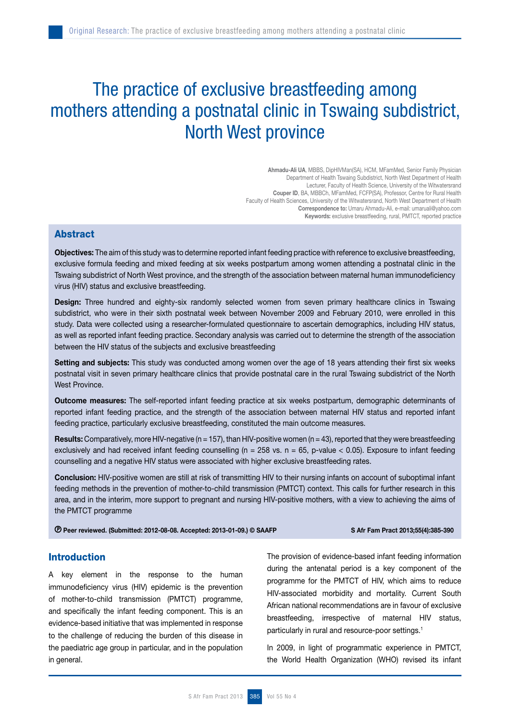# The practice of exclusive breastfeeding among mothers attending a postnatal clinic in Tswaing subdistrict, North West province

Ahmadu-Ali UA, MBBS, DipHIVMan(SA), HCM, MFamMed, Senior Family Physician Department of Health Tswaing Subdistrict, North West Department of Health Lecturer, Faculty of Health Science, University of the Witwatersrand Couper ID, BA, MBBCh, MFamMed, FCFP(SA), Professor, Centre for Rural Health Faculty of Health Sciences, University of the Witwatersrand, North West Department of Health Correspondence to: Umaru Ahmadu-Ali, e-mail: umaruali@yahoo.com Keywords: exclusive breastfeeding, rural, PMTCT, reported practice

# Abstract

Objectives: The aim of this study was to determine reported infant feeding practice with reference to exclusive breastfeeding, exclusive formula feeding and mixed feeding at six weeks postpartum among women attending a postnatal clinic in the Tswaing subdistrict of North West province, and the strength of the association between maternal human immunodeficiency virus (HIV) status and exclusive breastfeeding.

Design: Three hundred and eighty-six randomly selected women from seven primary healthcare clinics in Tswaing subdistrict, who were in their sixth postnatal week between November 2009 and February 2010, were enrolled in this study. Data were collected using a researcher-formulated questionnaire to ascertain demographics, including HIV status, as well as reported infant feeding practice. Secondary analysis was carried out to determine the strength of the association between the HIV status of the subjects and exclusive breastfeeding

Setting and subjects: This study was conducted among women over the age of 18 years attending their first six weeks postnatal visit in seven primary healthcare clinics that provide postnatal care in the rural Tswaing subdistrict of the North West Province.

Outcome measures: The self-reported infant feeding practice at six weeks postpartum, demographic determinants of reported infant feeding practice, and the strength of the association between maternal HIV status and reported infant feeding practice, particularly exclusive breastfeeding, constituted the main outcome measures.

Results: Comparatively, more HIV-negative ( $n = 157$ ), than HIV-positive women ( $n = 43$ ), reported that they were breastfeeding exclusively and had received infant feeding counselling ( $n = 258$  vs.  $n = 65$ , p-value < 0.05). Exposure to infant feeding counselling and a negative HIV status were associated with higher exclusive breastfeeding rates.

Conclusion: HIV-positive women are still at risk of transmitting HIV to their nursing infants on account of suboptimal infant feeding methods in the prevention of mother-to-child transmission (PMTCT) context. This calls for further research in this area, and in the interim, more support to pregnant and nursing HIV-positive mothers, with a view to achieving the aims of the PMTCT programme

Peer reviewed. (Submitted: 2012-08-08. Accepted: 2013-01-09.) © SAAFP S Afr Fam Pract 2013;55(4):385-390

# Introduction

A key element in the response to the human immunodeficiency virus (HIV) epidemic is the prevention of mother-to-child transmission (PMTCT) programme, and specifically the infant feeding component. This is an evidence-based initiative that was implemented in response to the challenge of reducing the burden of this disease in the paediatric age group in particular, and in the population in general.

The provision of evidence-based infant feeding information during the antenatal period is a key component of the programme for the PMTCT of HIV, which aims to reduce HIV-associated morbidity and mortality. Current South African national recommendations are in favour of exclusive breastfeeding, irrespective of maternal HIV status, particularly in rural and resource-poor settings.<sup>1</sup>

In 2009, in light of programmatic experience in PMTCT, the World Health Organization (WHO) revised its infant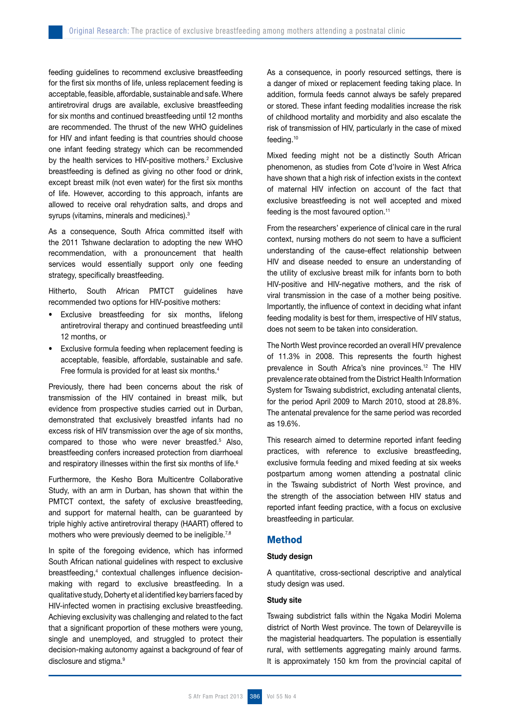feeding guidelines to recommend exclusive breastfeeding for the first six months of life, unless replacement feeding is acceptable, feasible, affordable, sustainable and safe. Where antiretroviral drugs are available, exclusive breastfeeding for six months and continued breastfeeding until 12 months are recommended. The thrust of the new WHO guidelines for HIV and infant feeding is that countries should choose one infant feeding strategy which can be recommended by the health services to HIV-positive mothers.<sup>2</sup> Exclusive breastfeeding is defined as giving no other food or drink, except breast milk (not even water) for the first six months of life. However, according to this approach, infants are allowed to receive oral rehydration salts, and drops and syrups (vitamins, minerals and medicines).<sup>3</sup>

As a consequence, South Africa committed itself with the 2011 Tshwane declaration to adopting the new WHO recommendation, with a pronouncement that health services would essentially support only one feeding strategy, specifically breastfeeding.

Hitherto, South African PMTCT guidelines have recommended two options for HIV-positive mothers:

- • Exclusive breastfeeding for six months, lifelong antiretroviral therapy and continued breastfeeding until 12 months, or
- • Exclusive formula feeding when replacement feeding is acceptable, feasible, affordable, sustainable and safe. Free formula is provided for at least six months.<sup>4</sup>

Previously, there had been concerns about the risk of transmission of the HIV contained in breast milk, but evidence from prospective studies carried out in Durban, demonstrated that exclusively breastfed infants had no excess risk of HIV transmission over the age of six months, compared to those who were never breastfed.5 Also, breastfeeding confers increased protection from diarrhoeal and respiratory illnesses within the first six months of life.<sup>6</sup>

Furthermore, the Kesho Bora Multicentre Collaborative Study, with an arm in Durban, has shown that within the PMTCT context, the safety of exclusive breastfeeding, and support for maternal health, can be guaranteed by triple highly active antiretroviral therapy (HAART) offered to mothers who were previously deemed to be ineligible.<sup>7,8</sup>

In spite of the foregoing evidence, which has informed South African national guidelines with respect to exclusive breastfeeding,4 contextual challenges influence decisionmaking with regard to exclusive breastfeeding. In a qualitative study, Doherty et al identified key barriers faced by HIV-infected women in practising exclusive breastfeeding. Achieving exclusivity was challenging and related to the fact that a significant proportion of these mothers were young, single and unemployed, and struggled to protect their decision-making autonomy against a background of fear of disclosure and stigma.<sup>9</sup>

As a consequence, in poorly resourced settings, there is a danger of mixed or replacement feeding taking place. In addition, formula feeds cannot always be safely prepared or stored. These infant feeding modalities increase the risk of childhood mortality and morbidity and also escalate the risk of transmission of HIV, particularly in the case of mixed feeding.10

Mixed feeding might not be a distinctly South African phenomenon, as studies from Cote d'Ivoire in West Africa have shown that a high risk of infection exists in the context of maternal HIV infection on account of the fact that exclusive breastfeeding is not well accepted and mixed feeding is the most favoured option.<sup>11</sup>

From the researchers' experience of clinical care in the rural context, nursing mothers do not seem to have a sufficient understanding of the cause-effect relationship between HIV and disease needed to ensure an understanding of the utility of exclusive breast milk for infants born to both HIV-positive and HIV-negative mothers, and the risk of viral transmission in the case of a mother being positive. Importantly, the influence of context in deciding what infant feeding modality is best for them, irrespective of HIV status, does not seem to be taken into consideration.

The North West province recorded an overall HIV prevalence of 11.3% in 2008. This represents the fourth highest prevalence in South Africa's nine provinces.<sup>12</sup> The HIV prevalence rate obtained from the District Health Information System for Tswaing subdistrict, excluding antenatal clients, for the period April 2009 to March 2010, stood at 28.8%. The antenatal prevalence for the same period was recorded as 19.6%.

This research aimed to determine reported infant feeding practices, with reference to exclusive breastfeeding, exclusive formula feeding and mixed feeding at six weeks postpartum among women attending a postnatal clinic in the Tswaing subdistrict of North West province, and the strength of the association between HIV status and reported infant feeding practice, with a focus on exclusive breastfeeding in particular.

# Method

#### Study design

A quantitative, cross-sectional descriptive and analytical study design was used.

#### Study site

Tswaing subdistrict falls within the Ngaka Modiri Molema district of North West province. The town of Delareyville is the magisterial headquarters. The population is essentially rural, with settlements aggregating mainly around farms. It is approximately 150 km from the provincial capital of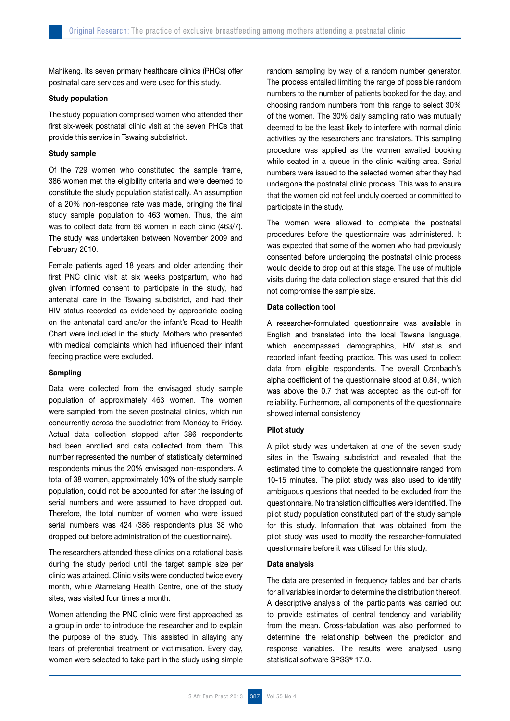Mahikeng. Its seven primary healthcare clinics (PHCs) offer postnatal care services and were used for this study.

#### Study population

The study population comprised women who attended their first six-week postnatal clinic visit at the seven PHCs that provide this service in Tswaing subdistrict.

# Study sample

Of the 729 women who constituted the sample frame, 386 women met the eligibility criteria and were deemed to constitute the study population statistically. An assumption of a 20% non-response rate was made, bringing the final study sample population to 463 women. Thus, the aim was to collect data from 66 women in each clinic (463/7). The study was undertaken between November 2009 and February 2010.

Female patients aged 18 years and older attending their first PNC clinic visit at six weeks postpartum, who had given informed consent to participate in the study, had antenatal care in the Tswaing subdistrict, and had their HIV status recorded as evidenced by appropriate coding on the antenatal card and/or the infant's Road to Health Chart were included in the study. Mothers who presented with medical complaints which had influenced their infant feeding practice were excluded.

### Sampling

Data were collected from the envisaged study sample population of approximately 463 women. The women were sampled from the seven postnatal clinics, which run concurrently across the subdistrict from Monday to Friday. Actual data collection stopped after 386 respondents had been enrolled and data collected from them. This number represented the number of statistically determined respondents minus the 20% envisaged non-responders. A total of 38 women, approximately 10% of the study sample population, could not be accounted for after the issuing of serial numbers and were assumed to have dropped out. Therefore, the total number of women who were issued serial numbers was 424 (386 respondents plus 38 who dropped out before administration of the questionnaire).

The researchers attended these clinics on a rotational basis during the study period until the target sample size per clinic was attained. Clinic visits were conducted twice every month, while Atamelang Health Centre, one of the study sites, was visited four times a month.

Women attending the PNC clinic were first approached as a group in order to introduce the researcher and to explain the purpose of the study. This assisted in allaying any fears of preferential treatment or victimisation. Every day, women were selected to take part in the study using simple random sampling by way of a random number generator. The process entailed limiting the range of possible random numbers to the number of patients booked for the day, and choosing random numbers from this range to select 30% of the women. The 30% daily sampling ratio was mutually deemed to be the least likely to interfere with normal clinic activities by the researchers and translators. This sampling procedure was applied as the women awaited booking while seated in a queue in the clinic waiting area. Serial numbers were issued to the selected women after they had undergone the postnatal clinic process. This was to ensure that the women did not feel unduly coerced or committed to participate in the study.

The women were allowed to complete the postnatal procedures before the questionnaire was administered. It was expected that some of the women who had previously consented before undergoing the postnatal clinic process would decide to drop out at this stage. The use of multiple visits during the data collection stage ensured that this did not compromise the sample size.

#### Data collection tool

A researcher-formulated questionnaire was available in English and translated into the local Tswana language, which encompassed demographics, HIV status and reported infant feeding practice. This was used to collect data from eligible respondents. The overall Cronbach's alpha coefficient of the questionnaire stood at 0.84, which was above the 0.7 that was accepted as the cut-off for reliability. Furthermore, all components of the questionnaire showed internal consistency.

#### Pilot study

A pilot study was undertaken at one of the seven study sites in the Tswaing subdistrict and revealed that the estimated time to complete the questionnaire ranged from 10-15 minutes. The pilot study was also used to identify ambiguous questions that needed to be excluded from the questionnaire. No translation difficulties were identified. The pilot study population constituted part of the study sample for this study. Information that was obtained from the pilot study was used to modify the researcher-formulated questionnaire before it was utilised for this study.

#### Data analysis

The data are presented in frequency tables and bar charts for all variables in order to determine the distribution thereof. A descriptive analysis of the participants was carried out to provide estimates of central tendency and variability from the mean. Cross-tabulation was also performed to determine the relationship between the predictor and response variables. The results were analysed using statistical software SPSS<sup>®</sup> 17.0.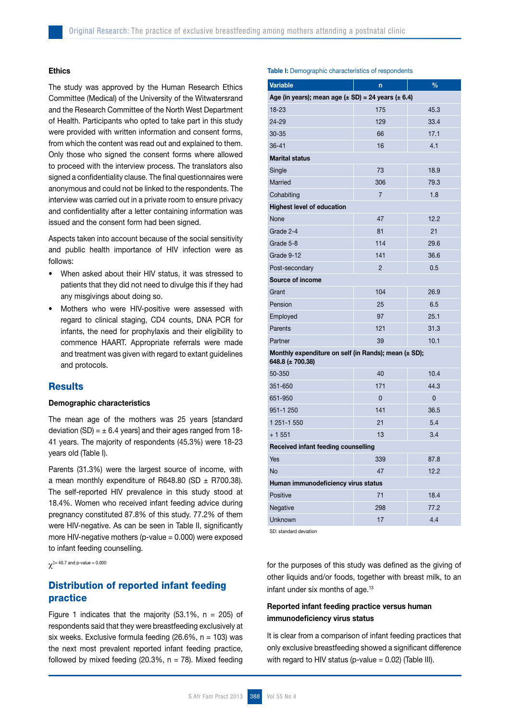### Ethics

The study was approved by the Human Research Ethics Committee (Medical) of the University of the Witwatersrand and the Research Committee of the North West Department of Health. Participants who opted to take part in this study were provided with written information and consent forms, from which the content was read out and explained to them. Only those who signed the consent forms where allowed to proceed with the interview process. The translators also signed a confidentiality clause. The final questionnaires were anonymous and could not be linked to the respondents. The interview was carried out in a private room to ensure privacy and confidentiality after a letter containing information was issued and the consent form had been signed.

Aspects taken into account because of the social sensitivity and public health importance of HIV infection were as follows:

- When asked about their HIV status, it was stressed to patients that they did not need to divulge this if they had any misgivings about doing so.
- Mothers who were HIV-positive were assessed with regard to clinical staging, CD4 counts, DNA PCR for infants, the need for prophylaxis and their eligibility to commence HAART. Appropriate referrals were made and treatment was given with regard to extant guidelines and protocols.

### **Results**

#### Demographic characteristics

The mean age of the mothers was 25 years [standard deviation (SD) =  $\pm$  6.4 years] and their ages ranged from 18-41 years. The majority of respondents (45.3%) were 18-23 years old (Table I).

Parents (31.3%) were the largest source of income, with a mean monthly expenditure of R648.80 (SD  $\pm$  R700.38). The self-reported HIV prevalence in this study stood at 18.4%. Women who received infant feeding advice during pregnancy constituted 87.8% of this study. 77.2% of them were HIV-negative. As can be seen in Table II, significantly more HIV-negative mothers (p-value = 0.000) were exposed to infant feeding counselling.

 $\chi^{2= 40.7}$  and p-value = 0.000

# Distribution of reported infant feeding practice

Figure 1 indicates that the majority  $(53.1\% , n = 205)$  of respondents said that they were breastfeeding exclusively at six weeks. Exclusive formula feeding (26.6%,  $n = 103$ ) was the next most prevalent reported infant feeding practice, followed by mixed feeding (20.3%,  $n = 78$ ). Mixed feeding

Table I: Demographic characteristics of respondents

| Variable                                                                 | n              | $\frac{0}{0}$  |  |  |  |  |  |
|--------------------------------------------------------------------------|----------------|----------------|--|--|--|--|--|
| Age (in years); mean age ( $\pm$ SD) = 24 years ( $\pm$ 6.4)             |                |                |  |  |  |  |  |
| 18-23                                                                    | 175            | 45.3           |  |  |  |  |  |
| 24-29                                                                    | 129            | 33.4           |  |  |  |  |  |
| 30-35                                                                    | 66             | 17.1           |  |  |  |  |  |
| $36 - 41$                                                                | 16             | 4.1            |  |  |  |  |  |
| <b>Marital status</b>                                                    |                |                |  |  |  |  |  |
| Single                                                                   | 73             | 18.9           |  |  |  |  |  |
| Married                                                                  | 306            | 79.3           |  |  |  |  |  |
| Cohabiting                                                               | $\overline{7}$ | 1.8            |  |  |  |  |  |
| <b>Highest level of education</b>                                        |                |                |  |  |  |  |  |
| None                                                                     | 47             | 12.2           |  |  |  |  |  |
| Grade 2-4                                                                | 81             | 21             |  |  |  |  |  |
| Grade 5-8                                                                | 114            | 29.6           |  |  |  |  |  |
| Grade 9-12                                                               | 141            | 36.6           |  |  |  |  |  |
| Post-secondary                                                           | $\overline{2}$ | 0.5            |  |  |  |  |  |
| Source of income                                                         |                |                |  |  |  |  |  |
| Grant                                                                    | 104            | 26.9           |  |  |  |  |  |
| Pension                                                                  | 25             | 6.5            |  |  |  |  |  |
| Employed                                                                 | 97             | 25.1           |  |  |  |  |  |
| Parents                                                                  | 121            | 31.3           |  |  |  |  |  |
| Partner                                                                  | 39             | 10.1           |  |  |  |  |  |
| Monthly expenditure on self (in Rands); mean (± SD);<br>648.8 (± 700.38) |                |                |  |  |  |  |  |
| 50-350                                                                   | 40             | 10.4           |  |  |  |  |  |
| 351-650                                                                  | 171            | 44.3           |  |  |  |  |  |
| 651-950                                                                  | $\overline{0}$ | $\overline{0}$ |  |  |  |  |  |
| 951-1 250                                                                | 141            | 36.5           |  |  |  |  |  |
| 1 251-1 550                                                              | 21             | 5.4            |  |  |  |  |  |
| $+1551$                                                                  | 13             | 3.4            |  |  |  |  |  |
| Received infant feeding counselling                                      |                |                |  |  |  |  |  |
| Yes                                                                      | 339            | 87.8           |  |  |  |  |  |
| <b>No</b>                                                                | 47             | 12.2           |  |  |  |  |  |
| Human immunodeficiency virus status                                      |                |                |  |  |  |  |  |
| Positive                                                                 | 71             | 18.4           |  |  |  |  |  |
| Negative                                                                 | 298            | 77.2           |  |  |  |  |  |
| Unknown                                                                  | 17             | 4.4            |  |  |  |  |  |

SD: standard deviation

for the purposes of this study was defined as the giving of other liquids and/or foods, together with breast milk, to an infant under six months of age. $13$ 

# Reported infant feeding practice versus human immunodeficiency virus status

It is clear from a comparison of infant feeding practices that only exclusive breastfeeding showed a significant difference with regard to HIV status (p-value  $= 0.02$ ) (Table III).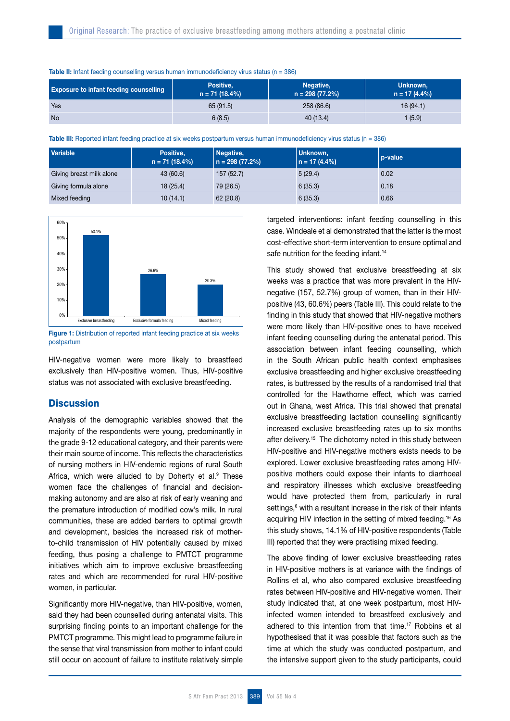| <b>Exposure to infant feeding counselling</b> | Positive,<br>$n = 71(18.4%)$ | Negative,<br>$n = 298(77.2%)$ | Unknown,<br>$n = 17(4.4\%)$ |
|-----------------------------------------------|------------------------------|-------------------------------|-----------------------------|
| Yes                                           | 65(91.5)                     | 258 (86.6)                    | 16(94.1)                    |
| <b>No</b>                                     | 6(8.5)                       | 40 (13.4)                     | (5.9)                       |

**Table II:** Infant feeding counselling versus human immunodeficiency virus status ( $n = 386$ )

Table III: Reported infant feeding practice at six weeks postpartum versus human immunodeficiency virus status (n = 386)

| <b>Variable</b>          | Positive,<br>$n = 71(18.4%)$ | Negative,<br>$n = 298(77.2%)$ | Unknown,<br>$n = 17(4.4\%)$ | p-value |
|--------------------------|------------------------------|-------------------------------|-----------------------------|---------|
| Giving breast milk alone | 43 (60.6)                    | 157(52.7)                     | 5(29.4)                     | 0.02    |
| Giving formula alone     | 18 (25.4)                    | 79 (26.5)                     | 6(35.3)                     | 0.18    |
| Mixed feeding            | 10(14.1)                     | 62 (20.8)                     | 6(35.3)                     | 0.66    |



Figure 1: Distribution of reported infant feeding practice at six weeks postpartum

HIV-negative women were more likely to breastfeed exclusively than HIV-positive women. Thus, HIV-positive status was not associated with exclusive breastfeeding.

# **Discussion**

Analysis of the demographic variables showed that the majority of the respondents were young, predominantly in the grade 9-12 educational category, and their parents were their main source of income. This reflects the characteristics of nursing mothers in HIV-endemic regions of rural South Africa, which were alluded to by Doherty et al.<sup>9</sup> These women face the challenges of financial and decisionmaking autonomy and are also at risk of early weaning and the premature introduction of modified cow's milk. In rural communities, these are added barriers to optimal growth and development, besides the increased risk of motherto-child transmission of HIV potentially caused by mixed feeding, thus posing a challenge to PMTCT programme initiatives which aim to improve exclusive breastfeeding rates and which are recommended for rural HIV-positive women, in particular.

Significantly more HIV-negative, than HIV-positive, women, said they had been counselled during antenatal visits. This surprising finding points to an important challenge for the PMTCT programme. This might lead to programme failure in the sense that viral transmission from mother to infant could still occur on account of failure to institute relatively simple

targeted interventions: infant feeding counselling in this case. Windeale et al demonstrated that the latter is the most cost-effective short-term intervention to ensure optimal and safe nutrition for the feeding infant.<sup>14</sup>

This study showed that exclusive breastfeeding at six weeks was a practice that was more prevalent in the HIVnegative (157, 52.7%) group of women, than in their HIVpositive (43, 60.6%) peers (Table III). This could relate to the finding in this study that showed that HIV-negative mothers were more likely than HIV-positive ones to have received infant feeding counselling during the antenatal period. This association between infant feeding counselling, which in the South African public health context emphasises exclusive breastfeeding and higher exclusive breastfeeding rates, is buttressed by the results of a randomised trial that controlled for the Hawthorne effect, which was carried out in Ghana, west Africa. This trial showed that prenatal exclusive breastfeeding lactation counselling significantly increased exclusive breastfeeding rates up to six months after delivery.15 The dichotomy noted in this study between HIV-positive and HIV-negative mothers exists needs to be explored. Lower exclusive breastfeeding rates among HIVpositive mothers could expose their infants to diarrhoeal and respiratory illnesses which exclusive breastfeeding would have protected them from, particularly in rural settings,<sup>6</sup> with a resultant increase in the risk of their infants acquiring HIV infection in the setting of mixed feeding.16 As this study shows, 14.1% of HIV-positive respondents (Table III) reported that they were practising mixed feeding.

The above finding of lower exclusive breastfeeding rates in HIV-positive mothers is at variance with the findings of Rollins et al, who also compared exclusive breastfeeding rates between HIV-positive and HIV-negative women. Their study indicated that, at one week postpartum, most HIVinfected women intended to breastfeed exclusively and adhered to this intention from that time.17 Robbins et al hypothesised that it was possible that factors such as the time at which the study was conducted postpartum, and the intensive support given to the study participants, could